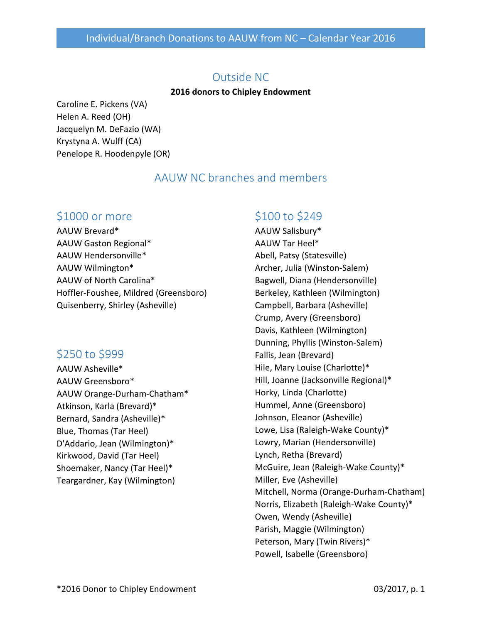#### Outside NC

#### **2016 donors to Chipley Endowment**

Caroline E. Pickens (VA) Helen A. Reed (OH) Jacquelyn M. DeFazio (WA) Krystyna A. Wulff (CA) Penelope R. Hoodenpyle (OR)

### AAUW NC branches and members

### \$1000 or more

AAUW Brevard\* AAUW Gaston Regional\* AAUW Hendersonville\* AAUW Wilmington\* AAUW of North Carolina\* Hoffler-Foushee, Mildred (Greensboro) Quisenberry, Shirley (Asheville)

# \$250 to \$999

AAUW Asheville\* AAUW Greensboro\* AAUW Orange-Durham-Chatham\* Atkinson, Karla (Brevard)\* Bernard, Sandra (Asheville)\* Blue, Thomas (Tar Heel) D'Addario, Jean (Wilmington)\* Kirkwood, David (Tar Heel) Shoemaker, Nancy (Tar Heel)\* Teargardner, Kay (Wilmington)

## \$100 to \$249

AAUW Salisbury\* AAUW Tar Heel\* Abell, Patsy (Statesville) Archer, Julia (Winston-Salem) Bagwell, Diana (Hendersonville) Berkeley, Kathleen (Wilmington) Campbell, Barbara (Asheville) Crump, Avery (Greensboro) Davis, Kathleen (Wilmington) Dunning, Phyllis (Winston-Salem) Fallis, Jean (Brevard) Hile, Mary Louise (Charlotte)\* Hill, Joanne (Jacksonville Regional)\* Horky, Linda (Charlotte) Hummel, Anne (Greensboro) Johnson, Eleanor (Asheville) Lowe, Lisa (Raleigh-Wake County)\* Lowry, Marian (Hendersonville) Lynch, Retha (Brevard) McGuire, Jean (Raleigh-Wake County)\* Miller, Eve (Asheville) Mitchell, Norma (Orange-Durham-Chatham) Norris, Elizabeth (Raleigh-Wake County)\* Owen, Wendy (Asheville) Parish, Maggie (Wilmington) Peterson, Mary (Twin Rivers)\* Powell, Isabelle (Greensboro)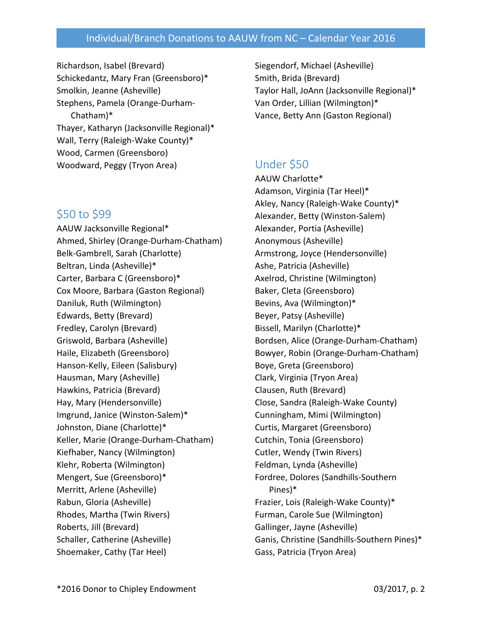#### Individual/Branch Donations to AAUW from NC – Calendar Year 2016

Richardson, Isabel (Brevard) Schickedantz, Mary Fran (Greensboro)\* Smolkin, Jeanne (Asheville) Stephens, Pamela (Orange-Durham-Chatham)\* Thayer, Katharyn (Jacksonville Regional)\* Wall, Terry (Raleigh-Wake County)\* Wood, Carmen (Greensboro) Woodward, Peggy (Tryon Area)

### \$50 to \$99

AAUW Jacksonville Regional\* Ahmed, Shirley (Orange-Durham-Chatham) Belk-Gambrell, Sarah (Charlotte) Beltran, Linda (Asheville)\* Carter, Barbara C (Greensboro)\* Cox Moore, Barbara (Gaston Regional) Daniluk, Ruth (Wilmington) Edwards, Betty (Brevard) Fredley, Carolyn (Brevard) Griswold, Barbara (Asheville) Haile, Elizabeth (Greensboro) Hanson-Kelly, Eileen (Salisbury) Hausman, Mary (Asheville) Hawkins, Patricia (Brevard) Hay, Mary (Hendersonville) Imgrund, Janice (Winston-Salem)\* Johnston, Diane (Charlotte)\* Keller, Marie (Orange-Durham-Chatham) Kiefhaber, Nancy (Wilmington) Klehr, Roberta (Wilmington) Mengert, Sue (Greensboro)\* Merritt, Arlene (Asheville) Rabun, Gloria (Asheville) Rhodes, Martha (Twin Rivers) Roberts, Jill (Brevard) Schaller, Catherine (Asheville) Shoemaker, Cathy (Tar Heel)

Siegendorf, Michael (Asheville) Smith, Brida (Brevard) Taylor Hall, JoAnn (Jacksonville Regional)\* Van Order, Lillian (Wilmington)\* Vance, Betty Ann (Gaston Regional)

# Under \$50

AAUW Charlotte\* Adamson, Virginia (Tar Heel)\* Akley, Nancy (Raleigh-Wake County)\* Alexander, Betty (Winston-Salem) Alexander, Portia (Asheville) Anonymous (Asheville) Armstrong, Joyce (Hendersonville) Ashe, Patricia (Asheville) Axelrod, Christine (Wilmington) Baker, Cleta (Greensboro) Bevins, Ava (Wilmington)\* Beyer, Patsy (Asheville) Bissell, Marilyn (Charlotte)\* Bordsen, Alice (Orange-Durham-Chatham) Bowyer, Robin (Orange-Durham-Chatham) Boye, Greta (Greensboro) Clark, Virginia (Tryon Area) Clausen, Ruth (Brevard) Close, Sandra (Raleigh-Wake County) Cunningham, Mimi (Wilmington) Curtis, Margaret (Greensboro) Cutchin, Tonia (Greensboro) Cutler, Wendy (Twin Rivers) Feldman, Lynda (Asheville) Fordree, Dolores (Sandhills-Southern Pines)\* Frazier, Lois (Raleigh-Wake County)\* Furman, Carole Sue (Wilmington) Gallinger, Jayne (Asheville) Ganis, Christine (Sandhills-Southern Pines)\* Gass, Patricia (Tryon Area)